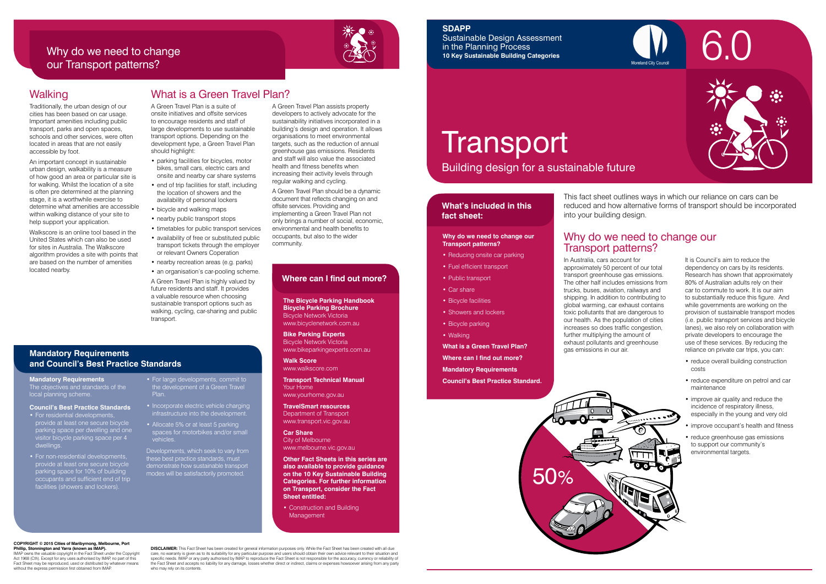

Building design for a sustainable future

### **What's included in this fact sheet:**



In Australia, cars account for approximately 50 percent of our total transport greenhouse gas emissions. The other half includes emissions from trucks, buses, aviation, railways and shipping. In addition to contributing to global warming, car exhaust contains toxic pollutants that are dangerous to our health. As the population of cities increases so does traffic congestion, further multiplying the amount of exhaust pollutants and greenhouse gas emissions in our air.

It is Council's aim to reduce the dependency on cars by its residents. Research has shown that approximately 80% of Australian adults rely on their car to commute to work. It is our aim to substantially reduce this figure. And while governments are working on the provision of sustainable transport modes (i.e. public transport services and bicycle lanes), we also rely on collaboration with private developers to encourage the use of these services. By reducing the reliance on private car trips, you can:

- Reducing onsite car parking
- Fuel efficient transport
- Public transport
- Car share
- Bicycle facilities
- Showers and lockers
- Bicycle parking
- Walking

- reduce overall building construction costs
- reduce expenditure on petrol and car maintenance
- improve air quality and reduce the incidence of respiratory illness, especially in the young and very old
- improve occupant's health and fitness
- reduce greenhouse gas emissions to support our community's environmental targets.

• Construction and Building **Management** 

# **Transport**

# Why do we need to change our Transport patterns?

### **Why do we need to change our Transport patterns?**

- parking facilities for bicycles, motor bikes, small cars, electric cars and onsite and nearby car share systems
- end of trip facilities for staff, including the location of showers and the availability of personal lockers
- bicycle and walking maps
- nearby public transport stops
- timetables for public transport services
- availability of free or substituted public transport tickets through the employer or relevant Owners Coperation
- nearby recreation areas (e.g. parks)

**What is a Green Travel Plan? Where can I find out more? Mandatory Requirements Council's Best Practice Standard.**

This fact sheet outlines ways in which our reliance on cars can be reduced and how alternative forms of transport should be incorporated into your building design.

### **The Bicycle Parking Handbook Bicycle Parking Brochure** Bicycle Network Victoria www.bicyclenetwork.com.au

**Bike Parking Experts** Bicycle Network Victoria www.bikeparkingexperts.com.au

**Walk Score** www.walkscore.com

**Transport Technical Manual** Your Home

www.yourhome.gov.au

**TravelSmart resources** Department of Transport www.transport.vic.gov.au

**Car Share** City of Melbourne www.melbourne.vic.gov.au

**Other Fact Sheets in this series are also available to provide guidance on the 10 Key Sustainable Building Categories. For further information on Transport, consider the Fact Sheet entitled:** 

### **Where can I find out more?**

### **Mandatory Requirements and Council's Best Practice Standards**

IMAP owns the valuable copyright in the Fact Sheet under the Copyright Act 1968 (Cth). Except for any uses authorised by IMAP, no part of this Fact Sheet may be reproduced, used or distributed by whatever means without the express permission first obtained from IMAF

# Why do we need to change our Transport patterns?



# What is a Green Travel Plan?

**DISCLAIMER:** This Fact Sheet has been created for general information purposes only. While the Fact Sheet has been created with all due care, no warranty is given as to its suitability for any particular purpose and users should obtain their own advice relevant to their situation and<br>specific needs. IMAP or any party authorised by IMAP to reproduce the Fac the Fact Sheet and accepts no liability for any damage, losses whether direct or indirect, claims or expenses howsoever arising from any party who may rely on its contents.



A Green Travel Plan is a suite of onsite initiatives and offsite services to encourage residents and staff of large developments to use sustainable transport options. Depending on the development type, a Green Travel Plan should highlight:

- $\bullet$  For residential developments provide at least one secure bicycle parking space per dwelling and one visitor bicycle parking space per 4 dwellings.
- For non-residential developments, provide at least one secure bicycle parking space for 10% of building occupants and sufficient end of trip facilities (showers and lockers).
- For large developments, commit to the development of a Green Travel Plan.
- Incorporate electric vehicle charging infrastructure into the development.
- Allocate 5% or at least 5 parking spaces for motorbikes and/or small vehicles.

• an organisation's car-pooling scheme. A Green Travel Plan is highly valued by future residents and staff. It provides a valuable resource when choosing sustainable transport options such as walking, cycling, car-sharing and public transport.

A Green Travel Plan assists property developers to actively advocate for the sustainability initiatives incorporated in a building's design and operation. It allows organisations to meet environmental targets, such as the reduction of annual greenhouse gas emissions. Residents and staff will also value the associated health and fitness benefits when increasing their activity levels through regular walking and cycling.

A Green Travel Plan should be a dynamic document that reflects changing on and offsite services. Providing and implementing a Green Travel Plan not only brings a number of social, economic, environmental and health benefits to occupants, but also to the wider community.

### Walking

Traditionally, the urban design of our cities has been based on car usage. Important amenities including public transport, parks and open spaces, schools and other services, were often located in areas that are not easily accessible by foot.

An important concept in sustainable urban design, walkability is a measure of how good an area or particular site is for walking. Whilst the location of a site is often pre determined at the planning stage, it is a worthwhile exercise to determine what amenities are accessible within walking distance of your site to help support your application.

Walkscore is an online tool based in the United States which can also be used for sites in Australia. The Walkscore algorithm provides a site with points that are based on the number of amenities located nearby.

### **COPYRIGHT © 2015 Cities of Maribyrnong, Melbourne, Port Phillip, Stonnington and Yarra (known as IMAP).**

### **SDAPP**

Sustainable Design Assessment in the Planning Process **10 Key Sustainable Building Categories**

**Mandatory Requirements** The objectives and standards of the local planning scheme.

### **Council's Best Practice Standards**

Developments, which seek to vary from these best practice standards, must demonstrate how sustainable transport modes will be satisfactorily promoted.